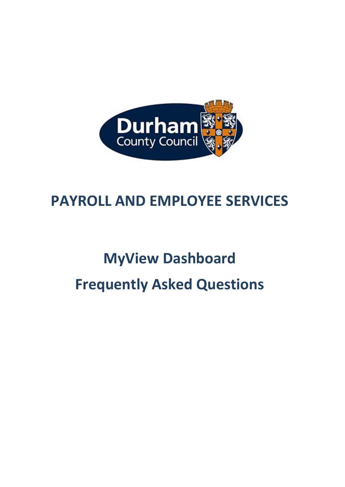

## **PAYROLL AND EMPLOYEE SERVICES**

# **MyView Dashboard Frequently Asked Questions**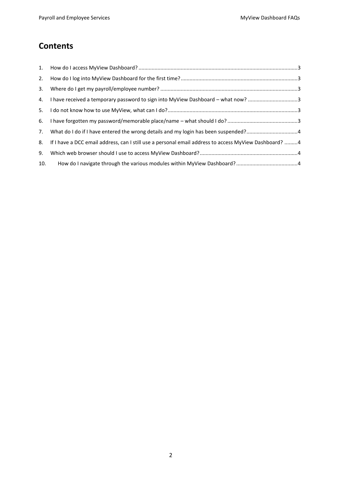### **Contents**

| 2.  |                                                                                                       |  |
|-----|-------------------------------------------------------------------------------------------------------|--|
| 3.  |                                                                                                       |  |
| 4.  | I have received a temporary password to sign into MyView Dashboard - what now? 3                      |  |
|     |                                                                                                       |  |
|     |                                                                                                       |  |
| 7.  |                                                                                                       |  |
| 8.  | If I have a DCC email address, can I still use a personal email address to access MyView Dashboard? 4 |  |
| 9.  |                                                                                                       |  |
| 10. |                                                                                                       |  |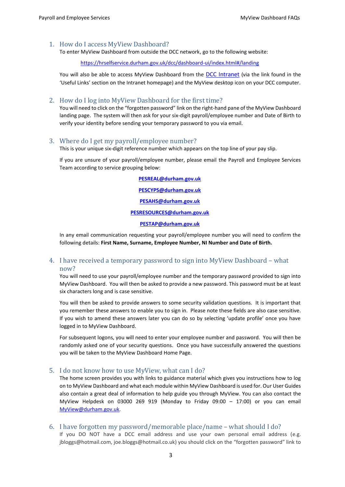#### <span id="page-2-0"></span>1. How do I access MyView Dashboard?

To enter MyView Dashboard from outside the DCC network, go to the following website:

<https://hrselfservice.durham.gov.uk/dcc/dashboard-ui/index.html#/landing>

You will also be able to access MyView Dashboard from the **[DCC Intranet](http://intranet.durham.gov.uk/Pages/default.aspx)** (via the link found in the 'Useful Links' section on the Intranet homepage) and the MyView desktop icon on your DCC computer.

#### <span id="page-2-1"></span>2. How do I log into MyView Dashboard for the first time?

You will need to click on the "forgotten password" link on the right-hand pane of the MyView Dashboard landing page. The system will then ask for your six-digit payroll/employee number and Date of Birth to verify your identity before sending your temporary password to you via email.

#### <span id="page-2-2"></span>3. Where do I get my payroll/employee number?

This is your unique six-digit reference number which appears on the top line of your pay slip.

If you are unsure of your payroll/employee number, please email the Payroll and Employee Services Team according to service grouping below:

> **[PESREAL@durham.gov.uk](mailto:PESREAL@durham.gov.uk) [PESCYPS@durham.gov.uk](mailto:PESCYPS@durham.gov.uk) [PESAHS@durham.gov.uk](mailto:PESAHS@durham.gov.uk) [PESRESOURCES@durham.gov.uk](mailto:PESRESOURCES@durham.gov.uk) [PESTAP@durham.gov.uk](mailto:PESTAP@durham.gov.uk)**

In any email communication requesting your payroll/employee number you will need to confirm the following details: **First Name, Surname, Employee Number, NI Number and Date of Birth.**

#### <span id="page-2-3"></span>4. I have received a temporary password to sign into MyView Dashboard – what now?

You will need to use your payroll/employee number and the temporary password provided to sign into MyView Dashboard. You will then be asked to provide a new password. This password must be at least six characters long and is case sensitive.

You will then be asked to provide answers to some security validation questions. It is important that you remember these answers to enable you to sign in. Please note these fields are also case sensitive. If you wish to amend these answers later you can do so by selecting 'update profile' once you have logged in to MyView Dashboard.

For subsequent logons, you will need to enter your employee number and password. You will then be randomly asked one of your security questions. Once you have successfully answered the questions you will be taken to the MyView Dashboard Home Page.

#### <span id="page-2-4"></span>5. I do not know how to use MyView, what can I do?

The home screen provides you with links to guidance material which gives you instructions how to log on to MyView Dashboard and what each module within MyView Dashboard is used for. Our User Guides also contain a great deal of information to help guide you through MyView. You can also contact the MyView Helpdesk on 03000 269 919 (Monday to Friday 09:00 – 17:00) or you can email [MyView@durham.gov.uk](mailto:MyView@durham.gov.uk).

<span id="page-2-5"></span>6. I have forgotten my password/memorable place/name – what should I do?

If you DO NOT have a DCC email address and use your own personal email address (e.g. jbloggs@hotmail.com, joe.bloggs@hotmail.co.uk) you should click on the "forgotten password" link to